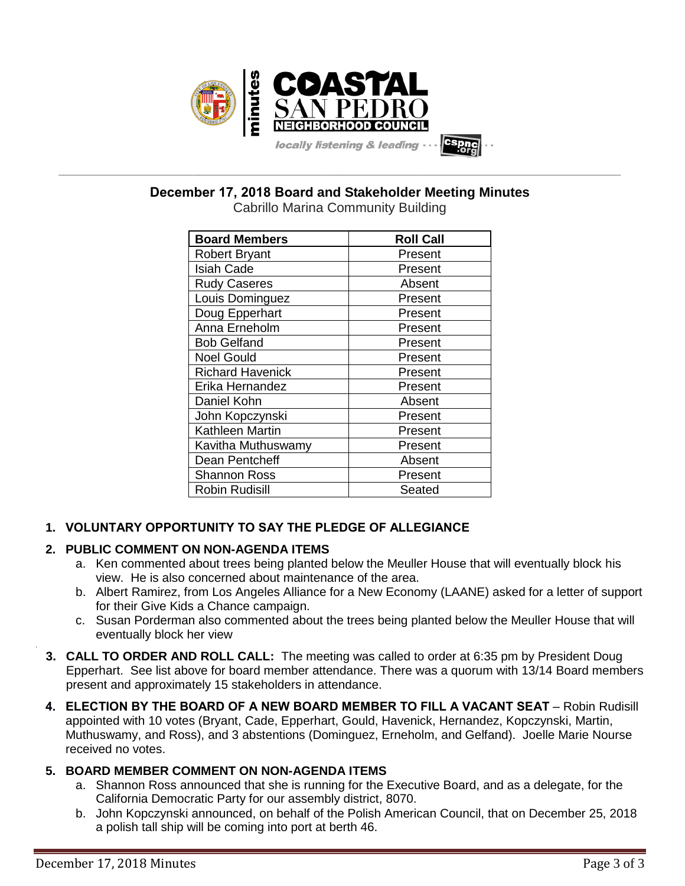

**\_\_\_\_\_\_\_\_\_\_\_\_\_\_\_\_\_\_\_\_\_\_\_\_\_\_\_\_\_\_\_\_\_\_\_\_\_\_\_\_\_\_\_\_\_\_\_\_\_\_\_\_\_\_\_\_\_\_\_\_\_\_\_\_\_\_\_\_\_\_\_\_\_\_\_\_\_\_\_\_\_\_\_\_\_\_\_\_\_\_\_\_\_\_\_\_\_\_\_\_\_\_\_\_\_\_\_\_\_\_\_\_\_ December 17, 2018 Board and Stakeholder Meeting Minutes**

| <b>Board Members</b>    | <b>Roll Call</b> |  |
|-------------------------|------------------|--|
| <b>Robert Bryant</b>    | Present          |  |
| <b>Isiah Cade</b>       | Present          |  |
| <b>Rudy Caseres</b>     | Absent           |  |
| Louis Dominguez         | Present          |  |
| Doug Epperhart          | Present          |  |
| Anna Erneholm           | Present          |  |
| <b>Bob Gelfand</b>      | Present          |  |
| <b>Noel Gould</b>       | Present          |  |
| <b>Richard Havenick</b> | Present          |  |
| Erika Hernandez         | Present          |  |
| Daniel Kohn             | Absent           |  |
| John Kopczynski         | Present          |  |
| Kathleen Martin         | Present          |  |
| Kavitha Muthuswamy      | Present          |  |
| Dean Pentcheff          | Absent           |  |
| <b>Shannon Ross</b>     | Present          |  |
| <b>Robin Rudisill</b>   | Seated           |  |

# **1. VOLUNTARY OPPORTUNITY TO SAY THE PLEDGE OF ALLEGIANCE**

# **2. PUBLIC COMMENT ON NON-AGENDA ITEMS**

- a. Ken commented about trees being planted below the Meuller House that will eventually block his view. He is also concerned about maintenance of the area.
- b. Albert Ramirez, from Los Angeles Alliance for a New Economy (LAANE) asked for a letter of support for their Give Kids a Chance campaign.
- c. Susan Porderman also commented about the trees being planted below the Meuller House that will eventually block her view
- **3. CALL TO ORDER AND ROLL CALL:** The meeting was called to order at 6:35 pm by President Doug Epperhart. See list above for board member attendance. There was a quorum with 13/14 Board members present and approximately 15 stakeholders in attendance.
- **4. ELECTION BY THE BOARD OF A NEW BOARD MEMBER TO FILL A VACANT SEAT** Robin Rudisill appointed with 10 votes (Bryant, Cade, Epperhart, Gould, Havenick, Hernandez, Kopczynski, Martin, Muthuswamy, and Ross), and 3 abstentions (Dominguez, Erneholm, and Gelfand). Joelle Marie Nourse received no votes.

# **5. BOARD MEMBER COMMENT ON NON-AGENDA ITEMS**

- a. Shannon Ross announced that she is running for the Executive Board, and as a delegate, for the California Democratic Party for our assembly district, 8070.
- b. John Kopczynski announced, on behalf of the Polish American Council, that on December 25, 2018 a polish tall ship will be coming into port at berth 46.

.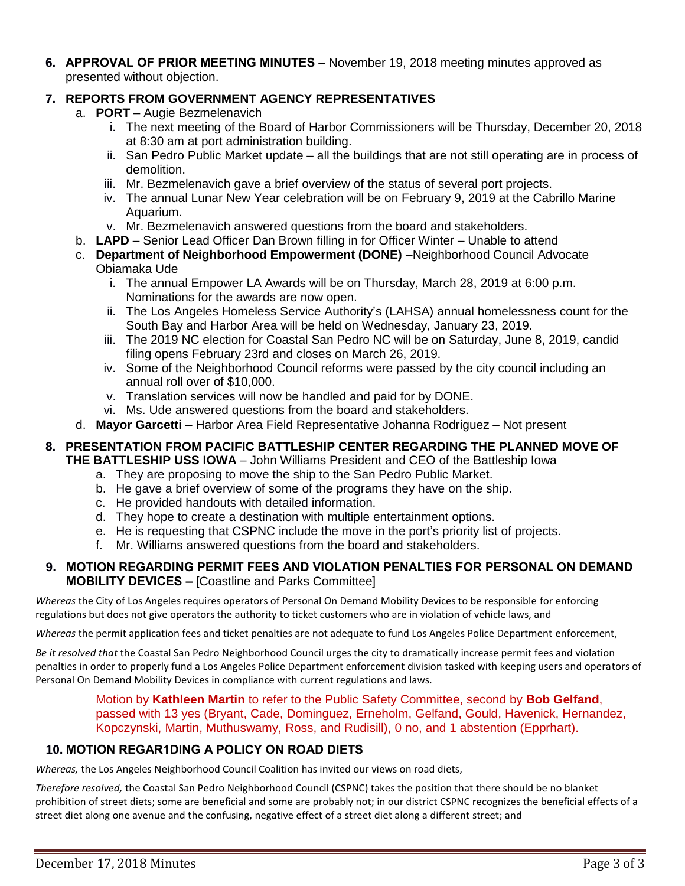**6. APPROVAL OF PRIOR MEETING MINUTES** – November 19, 2018 meeting minutes approved as presented without objection.

## **7. REPORTS FROM GOVERNMENT AGENCY REPRESENTATIVES**

- a. **PORT** Augie Bezmelenavich
	- i. The next meeting of the Board of Harbor Commissioners will be Thursday, December 20, 2018 at 8:30 am at port administration building.
	- ii. San Pedro Public Market update all the buildings that are not still operating are in process of demolition.
	- iii. Mr. Bezmelenavich gave a brief overview of the status of several port projects.
	- iv. The annual Lunar New Year celebration will be on February 9, 2019 at the Cabrillo Marine Aquarium.
	- v. Mr. Bezmelenavich answered questions from the board and stakeholders.
- b. **LAPD** Senior Lead Officer Dan Brown filling in for Officer Winter Unable to attend
- c. **Department of Neighborhood Empowerment (DONE)** –Neighborhood Council Advocate Obiamaka Ude
	- i. The annual Empower LA Awards will be on Thursday, March 28, 2019 at 6:00 p.m. Nominations for the awards are now open.
	- ii. The Los Angeles Homeless Service Authority's (LAHSA) annual homelessness count for the South Bay and Harbor Area will be held on Wednesday, January 23, 2019.
	- iii. The 2019 NC election for Coastal San Pedro NC will be on Saturday, June 8, 2019, candid filing opens February 23rd and closes on March 26, 2019.
	- iv. Some of the Neighborhood Council reforms were passed by the city council including an annual roll over of \$10,000.
	- v. Translation services will now be handled and paid for by DONE.
	- vi. Ms. Ude answered questions from the board and stakeholders.
- d. **Mayor Garcetti** Harbor Area Field Representative Johanna Rodriguez Not present

# **8. PRESENTATION FROM PACIFIC BATTLESHIP CENTER REGARDING THE PLANNED MOVE OF**

- **THE BATTLESHIP USS IOWA** John Williams President and CEO of the Battleship Iowa
	- a. They are proposing to move the ship to the San Pedro Public Market.
	- b. He gave a brief overview of some of the programs they have on the ship.
	- c. He provided handouts with detailed information.
	- d. They hope to create a destination with multiple entertainment options.
	- e. He is requesting that CSPNC include the move in the port's priority list of projects.
	- f. Mr. Williams answered questions from the board and stakeholders.

#### **9. MOTION REGARDING PERMIT FEES AND VIOLATION PENALTIES FOR PERSONAL ON DEMAND MOBILITY DEVICES –** [Coastline and Parks Committee]

*Whereas* the City of Los Angeles requires operators of Personal On Demand Mobility Devices to be responsible for enforcing regulations but does not give operators the authority to ticket customers who are in violation of vehicle laws, and

*Whereas* the permit application fees and ticket penalties are not adequate to fund Los Angeles Police Department enforcement,

*Be it resolved that* the Coastal San Pedro Neighborhood Council urges the city to dramatically increase permit fees and violation penalties in order to properly fund a Los Angeles Police Department enforcement division tasked with keeping users and operators of Personal On Demand Mobility Devices in compliance with current regulations and laws.

Motion by **Kathleen Martin** to refer to the Public Safety Committee, second by **Bob Gelfand**, passed with 13 yes (Bryant, Cade, Dominguez, Erneholm, Gelfand, Gould, Havenick, Hernandez, Kopczynski, Martin, Muthuswamy, Ross, and Rudisill), 0 no, and 1 abstention (Epprhart).

#### **10. MOTION REGAR1DING A POLICY ON ROAD DIETS**

*Whereas,* the Los Angeles Neighborhood Council Coalition has invited our views on road diets,

*Therefore resolved,* the Coastal San Pedro Neighborhood Council (CSPNC) takes the position that there should be no blanket prohibition of street diets; some are beneficial and some are probably not; in our district CSPNC recognizes the beneficial effects of a street diet along one avenue and the confusing, negative effect of a street diet along a different street; and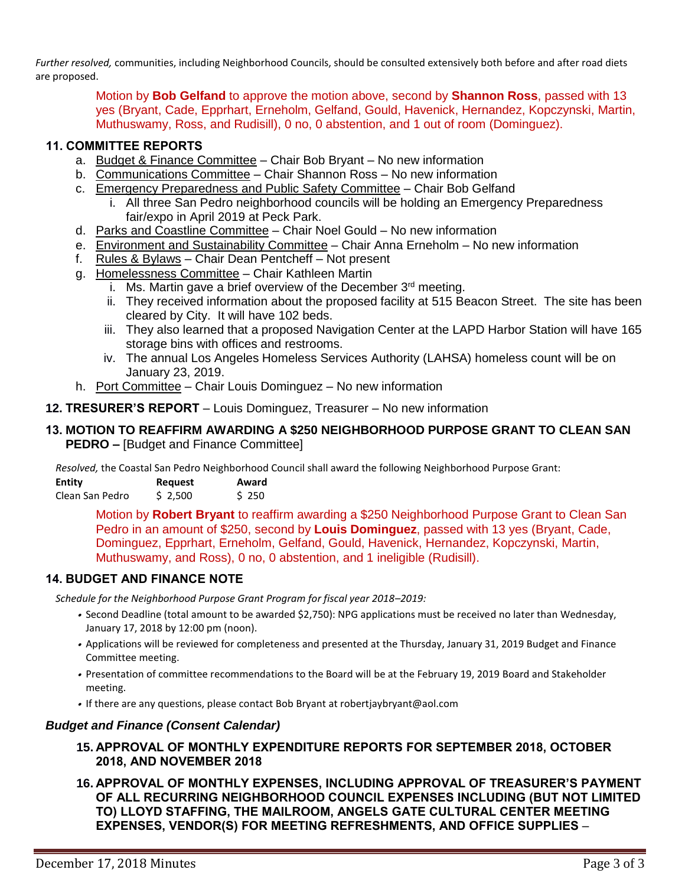*Further resolved,* communities, including Neighborhood Councils, should be consulted extensively both before and after road diets are proposed.

> Motion by **Bob Gelfand** to approve the motion above, second by **Shannon Ross**, passed with 13 yes (Bryant, Cade, Epprhart, Erneholm, Gelfand, Gould, Havenick, Hernandez, Kopczynski, Martin, Muthuswamy, Ross, and Rudisill), 0 no, 0 abstention, and 1 out of room (Dominguez).

#### **11. COMMITTEE REPORTS**

- a. Budget & Finance Committee Chair Bob Bryant No new information
- b. Communications Committee Chair Shannon Ross No new information
- c. Emergency Preparedness and Public Safety Committee Chair Bob Gelfand
	- i. All three San Pedro neighborhood councils will be holding an Emergency Preparedness fair/expo in April 2019 at Peck Park.
- d. Parks and Coastline Committee Chair Noel Gould No new information
- e. Environment and Sustainability Committee Chair Anna Erneholm No new information
- f. Rules & Bylaws Chair Dean Pentcheff Not present
- g. Homelessness Committee Chair Kathleen Martin
	- i. Ms. Martin gave a brief overview of the December  $3<sup>rd</sup>$  meeting.
	- ii. They received information about the proposed facility at 515 Beacon Street. The site has been cleared by City. It will have 102 beds.
	- iii. They also learned that a proposed Navigation Center at the LAPD Harbor Station will have 165 storage bins with offices and restrooms.
	- iv. The annual Los Angeles Homeless Services Authority (LAHSA) homeless count will be on January 23, 2019.
- h. Port Committee Chair Louis Dominguez No new information
- **12. TRESURER'S REPORT** Louis Dominguez, Treasurer No new information

#### **13. MOTION TO REAFFIRM AWARDING A \$250 NEIGHBORHOOD PURPOSE GRANT TO CLEAN SAN PEDRO –** [Budget and Finance Committee]

*Resolved,* the Coastal San Pedro Neighborhood Council shall award the following Neighborhood Purpose Grant:

| Entity          | <b>Request</b> | Award |
|-----------------|----------------|-------|
| Clean San Pedro | \$2,500        | \$250 |

Motion by **Robert Bryant** to reaffirm awarding a \$250 Neighborhood Purpose Grant to Clean San Pedro in an amount of \$250, second by **Louis Dominguez**, passed with 13 yes (Bryant, Cade, Dominguez, Epprhart, Erneholm, Gelfand, Gould, Havenick, Hernandez, Kopczynski, Martin, Muthuswamy, and Ross), 0 no, 0 abstention, and 1 ineligible (Rudisill).

#### **14. BUDGET AND FINANCE NOTE**

*Schedule for the Neighborhood Purpose Grant Program for fiscal year 2018–2019:*

- Second Deadline (total amount to be awarded \$2,750): NPG applications must be received no later than Wednesday, January 17, 2018 by 12:00 pm (noon).
- Applications will be reviewed for completeness and presented at the Thursday, January 31, 2019 Budget and Finance Committee meeting.
- Presentation of committee recommendations to the Board will be at the February 19, 2019 Board and Stakeholder meeting.
- If there are any questions, please contact Bob Bryant at robertjaybryant@aol.com

#### *Budget and Finance (Consent Calendar)*

- **15. APPROVAL OF MONTHLY EXPENDITURE REPORTS FOR SEPTEMBER 2018, OCTOBER 2018, AND NOVEMBER 2018**
- **16. APPROVAL OF MONTHLY EXPENSES, INCLUDING APPROVAL OF TREASURER'S PAYMENT OF ALL RECURRING NEIGHBORHOOD COUNCIL EXPENSES INCLUDING (BUT NOT LIMITED TO) LLOYD STAFFING, THE MAILROOM, ANGELS GATE CULTURAL CENTER MEETING EXPENSES, VENDOR(S) FOR MEETING REFRESHMENTS, AND OFFICE SUPPLIES** –